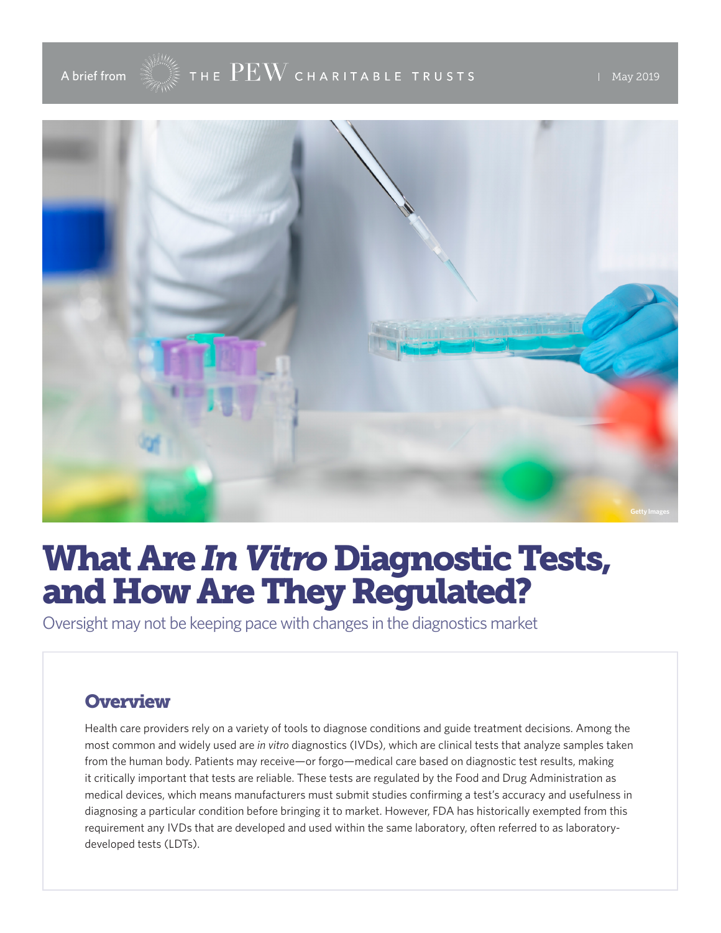

# What Are *In Vitro* Diagnostic Tests, and How Are They Regulated?

Oversight may not be keeping pace with changes in the diagnostics market

## **Overview**

Health care providers rely on a variety of tools to diagnose conditions and guide treatment decisions. Among the most common and widely used are *in vitro* diagnostics (IVDs), which are clinical tests that analyze samples taken from the human body. Patients may receive—or forgo—medical care based on diagnostic test results, making it critically important that tests are reliable. These tests are regulated by the Food and Drug Administration as medical devices, which means manufacturers must submit studies confirming a test's accuracy and usefulness in diagnosing a particular condition before bringing it to market. However, FDA has historically exempted from this requirement any IVDs that are developed and used within the same laboratory, often referred to as laboratorydeveloped tests (LDTs).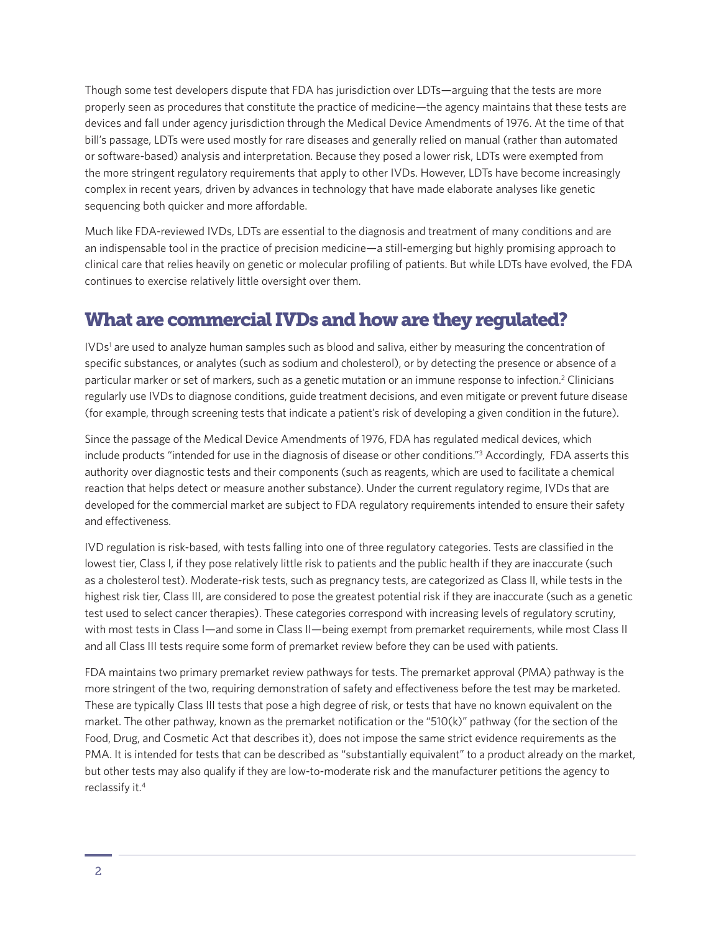Though some test developers dispute that FDA has jurisdiction over LDTs—arguing that the tests are more properly seen as procedures that constitute the practice of medicine—the agency maintains that these tests are devices and fall under agency jurisdiction through the Medical Device Amendments of 1976. At the time of that bill's passage, LDTs were used mostly for rare diseases and generally relied on manual (rather than automated or software-based) analysis and interpretation. Because they posed a lower risk, LDTs were exempted from the more stringent regulatory requirements that apply to other IVDs. However, LDTs have become increasingly complex in recent years, driven by advances in technology that have made elaborate analyses like genetic sequencing both quicker and more affordable.

Much like FDA-reviewed IVDs, LDTs are essential to the diagnosis and treatment of many conditions and are an indispensable tool in the practice of precision medicine—a still-emerging but highly promising approach to clinical care that relies heavily on genetic or molecular profiling of patients. But while LDTs have evolved, the FDA continues to exercise relatively little oversight over them.

## What are commercial IVDs and how are they regulated?

IVDs<sup>1</sup> are used to analyze human samples such as blood and saliva, either by measuring the concentration of specific substances, or analytes (such as sodium and cholesterol), or by detecting the presence or absence of a particular marker or set of markers, such as a genetic mutation or an immune response to infection.<sup>2</sup> Clinicians regularly use IVDs to diagnose conditions, guide treatment decisions, and even mitigate or prevent future disease (for example, through screening tests that indicate a patient's risk of developing a given condition in the future).

Since the passage of the Medical Device Amendments of 1976, FDA has regulated medical devices, which include products "intended for use in the diagnosis of disease or other conditions."<sup>3</sup> Accordingly, FDA asserts this authority over diagnostic tests and their components (such as reagents, which are used to facilitate a chemical reaction that helps detect or measure another substance). Under the current regulatory regime, IVDs that are developed for the commercial market are subject to FDA regulatory requirements intended to ensure their safety and effectiveness.

IVD regulation is risk-based, with tests falling into one of three regulatory categories. Tests are classified in the lowest tier, Class I, if they pose relatively little risk to patients and the public health if they are inaccurate (such as a cholesterol test). Moderate-risk tests, such as pregnancy tests, are categorized as Class II, while tests in the highest risk tier, Class III, are considered to pose the greatest potential risk if they are inaccurate (such as a genetic test used to select cancer therapies). These categories correspond with increasing levels of regulatory scrutiny, with most tests in Class I—and some in Class II—being exempt from premarket requirements, while most Class II and all Class III tests require some form of premarket review before they can be used with patients.

FDA maintains two primary premarket review pathways for tests. The premarket approval (PMA) pathway is the more stringent of the two, requiring demonstration of safety and effectiveness before the test may be marketed. These are typically Class III tests that pose a high degree of risk, or tests that have no known equivalent on the market. The other pathway, known as the premarket notification or the "510(k)" pathway (for the section of the Food, Drug, and Cosmetic Act that describes it), does not impose the same strict evidence requirements as the PMA. It is intended for tests that can be described as "substantially equivalent" to a product already on the market, but other tests may also qualify if they are low-to-moderate risk and the manufacturer petitions the agency to reclassify it.<sup>4</sup>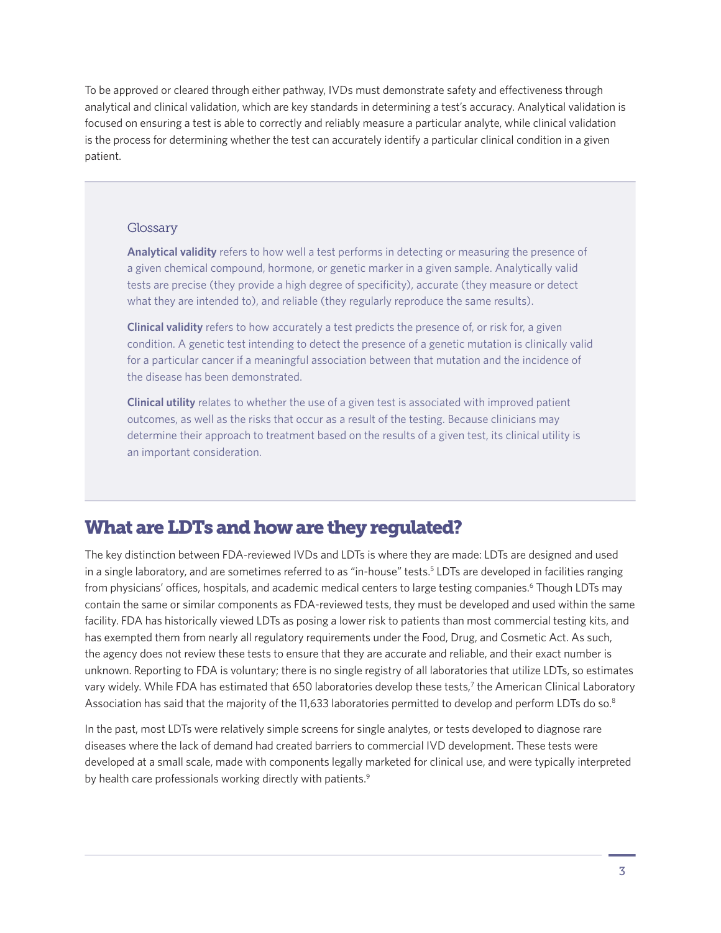To be approved or cleared through either pathway, IVDs must demonstrate safety and effectiveness through analytical and clinical validation, which are key standards in determining a test's accuracy. Analytical validation is focused on ensuring a test is able to correctly and reliably measure a particular analyte, while clinical validation is the process for determining whether the test can accurately identify a particular clinical condition in a given patient.

#### **Glossary**

**Analytical validity** refers to how well a test performs in detecting or measuring the presence of a given chemical compound, hormone, or genetic marker in a given sample. Analytically valid tests are precise (they provide a high degree of specificity), accurate (they measure or detect what they are intended to), and reliable (they regularly reproduce the same results).

**Clinical validity** refers to how accurately a test predicts the presence of, or risk for, a given condition. A genetic test intending to detect the presence of a genetic mutation is clinically valid for a particular cancer if a meaningful association between that mutation and the incidence of the disease has been demonstrated.

**Clinical utility** relates to whether the use of a given test is associated with improved patient outcomes, as well as the risks that occur as a result of the testing. Because clinicians may determine their approach to treatment based on the results of a given test, its clinical utility is an important consideration.

## What are LDTs and how are they regulated?

The key distinction between FDA-reviewed IVDs and LDTs is where they are made: LDTs are designed and used in a single laboratory, and are sometimes referred to as "in-house" tests.<sup>5</sup> LDTs are developed in facilities ranging from physicians' offices, hospitals, and academic medical centers to large testing companies.<sup>6</sup> Though LDTs may contain the same or similar components as FDA-reviewed tests, they must be developed and used within the same facility. FDA has historically viewed LDTs as posing a lower risk to patients than most commercial testing kits, and has exempted them from nearly all regulatory requirements under the Food, Drug, and Cosmetic Act. As such, the agency does not review these tests to ensure that they are accurate and reliable, and their exact number is unknown. Reporting to FDA is voluntary; there is no single registry of all laboratories that utilize LDTs, so estimates vary widely. While FDA has estimated that 650 laboratories develop these tests,<sup>7</sup> the American Clinical Laboratory Association has said that the majority of the 11,633 laboratories permitted to develop and perform LDTs do so.<sup>8</sup>

In the past, most LDTs were relatively simple screens for single analytes, or tests developed to diagnose rare diseases where the lack of demand had created barriers to commercial IVD development. These tests were developed at a small scale, made with components legally marketed for clinical use, and were typically interpreted by health care professionals working directly with patients.<sup>9</sup>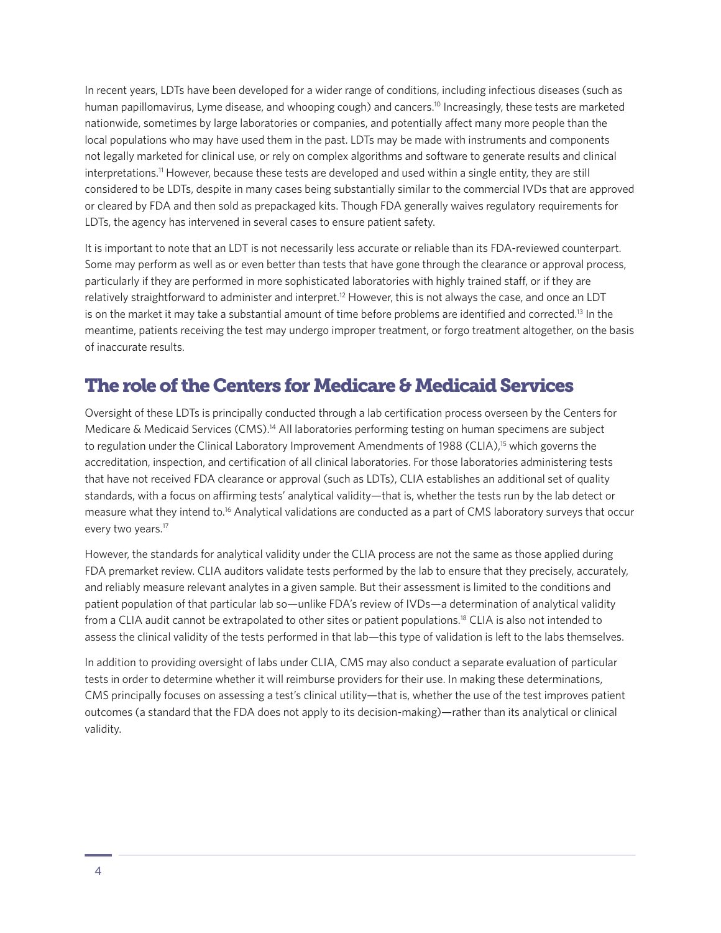In recent years, LDTs have been developed for a wider range of conditions, including infectious diseases (such as human papillomavirus, Lyme disease, and whooping cough) and cancers.<sup>10</sup> Increasingly, these tests are marketed nationwide, sometimes by large laboratories or companies, and potentially affect many more people than the local populations who may have used them in the past. LDTs may be made with instruments and components not legally marketed for clinical use, or rely on complex algorithms and software to generate results and clinical interpretations.11 However, because these tests are developed and used within a single entity, they are still considered to be LDTs, despite in many cases being substantially similar to the commercial IVDs that are approved or cleared by FDA and then sold as prepackaged kits. Though FDA generally waives regulatory requirements for LDTs, the agency has intervened in several cases to ensure patient safety.

It is important to note that an LDT is not necessarily less accurate or reliable than its FDA-reviewed counterpart. Some may perform as well as or even better than tests that have gone through the clearance or approval process, particularly if they are performed in more sophisticated laboratories with highly trained staff, or if they are relatively straightforward to administer and interpret.12 However, this is not always the case, and once an LDT is on the market it may take a substantial amount of time before problems are identified and corrected.13 In the meantime, patients receiving the test may undergo improper treatment, or forgo treatment altogether, on the basis of inaccurate results.

## The role of the Centers for Medicare & Medicaid Services

Oversight of these LDTs is principally conducted through a lab certification process overseen by the Centers for Medicare & Medicaid Services (CMS).<sup>14</sup> All laboratories performing testing on human specimens are subject to regulation under the Clinical Laboratory Improvement Amendments of 1988 (CLIA),<sup>15</sup> which governs the accreditation, inspection, and certification of all clinical laboratories. For those laboratories administering tests that have not received FDA clearance or approval (such as LDTs), CLIA establishes an additional set of quality standards, with a focus on affirming tests' analytical validity—that is, whether the tests run by the lab detect or measure what they intend to.16 Analytical validations are conducted as a part of CMS laboratory surveys that occur every two years.<sup>17</sup>

However, the standards for analytical validity under the CLIA process are not the same as those applied during FDA premarket review. CLIA auditors validate tests performed by the lab to ensure that they precisely, accurately, and reliably measure relevant analytes in a given sample. But their assessment is limited to the conditions and patient population of that particular lab so—unlike FDA's review of IVDs—a determination of analytical validity from a CLIA audit cannot be extrapolated to other sites or patient populations.18 CLIA is also not intended to assess the clinical validity of the tests performed in that lab—this type of validation is left to the labs themselves.

In addition to providing oversight of labs under CLIA, CMS may also conduct a separate evaluation of particular tests in order to determine whether it will reimburse providers for their use. In making these determinations, CMS principally focuses on assessing a test's clinical utility—that is, whether the use of the test improves patient outcomes (a standard that the FDA does not apply to its decision-making)—rather than its analytical or clinical validity.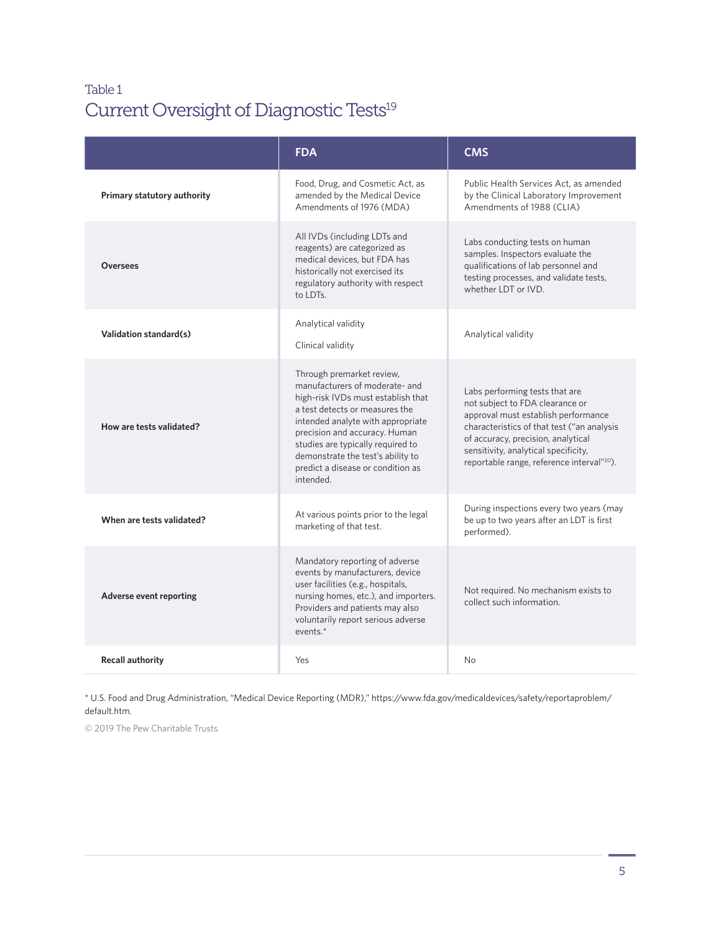## Table 1 Current Oversight of Diagnostic Tests<sup>19</sup>

|                             | <b>FDA</b>                                                                                                                                                                                                                                                                                                                            | <b>CMS</b>                                                                                                                                                                                                                                                                                     |
|-----------------------------|---------------------------------------------------------------------------------------------------------------------------------------------------------------------------------------------------------------------------------------------------------------------------------------------------------------------------------------|------------------------------------------------------------------------------------------------------------------------------------------------------------------------------------------------------------------------------------------------------------------------------------------------|
| Primary statutory authority | Food, Drug, and Cosmetic Act, as<br>amended by the Medical Device<br>Amendments of 1976 (MDA)                                                                                                                                                                                                                                         | Public Health Services Act, as amended<br>by the Clinical Laboratory Improvement<br>Amendments of 1988 (CLIA)                                                                                                                                                                                  |
| <b>Oversees</b>             | All IVDs (including LDTs and<br>reagents) are categorized as<br>medical devices, but FDA has<br>historically not exercised its<br>regulatory authority with respect<br>to LDTs.                                                                                                                                                       | Labs conducting tests on human<br>samples. Inspectors evaluate the<br>qualifications of lab personnel and<br>testing processes, and validate tests,<br>whether LDT or IVD.                                                                                                                     |
| Validation standard(s)      | Analytical validity<br>Clinical validity                                                                                                                                                                                                                                                                                              | Analytical validity                                                                                                                                                                                                                                                                            |
| How are tests validated?    | Through premarket review,<br>manufacturers of moderate- and<br>high-risk IVDs must establish that<br>a test detects or measures the<br>intended analyte with appropriate<br>precision and accuracy. Human<br>studies are typically required to<br>demonstrate the test's ability to<br>predict a disease or condition as<br>intended. | Labs performing tests that are<br>not subject to FDA clearance or<br>approval must establish performance<br>characteristics of that test ("an analysis<br>of accuracy, precision, analytical<br>sensitivity, analytical specificity,<br>reportable range, reference interval" <sup>20</sup> ). |
| When are tests validated?   | At various points prior to the legal<br>marketing of that test.                                                                                                                                                                                                                                                                       | During inspections every two years (may<br>be up to two years after an LDT is first<br>performed).                                                                                                                                                                                             |
| Adverse event reporting     | Mandatory reporting of adverse<br>events by manufacturers, device<br>user facilities (e.g., hospitals,<br>nursing homes, etc.), and importers.<br>Providers and patients may also<br>voluntarily report serious adverse<br>events. $*$                                                                                                | Not required. No mechanism exists to<br>collect such information.                                                                                                                                                                                                                              |
| <b>Recall authority</b>     | Yes                                                                                                                                                                                                                                                                                                                                   | N <sub>o</sub>                                                                                                                                                                                                                                                                                 |

\* U.S. Food and Drug Administration, "Medical Device Reporting (MDR)," https://www.fda.gov/medicaldevices/safety/reportaproblem/ default.htm.

© 2019 The Pew Charitable Trusts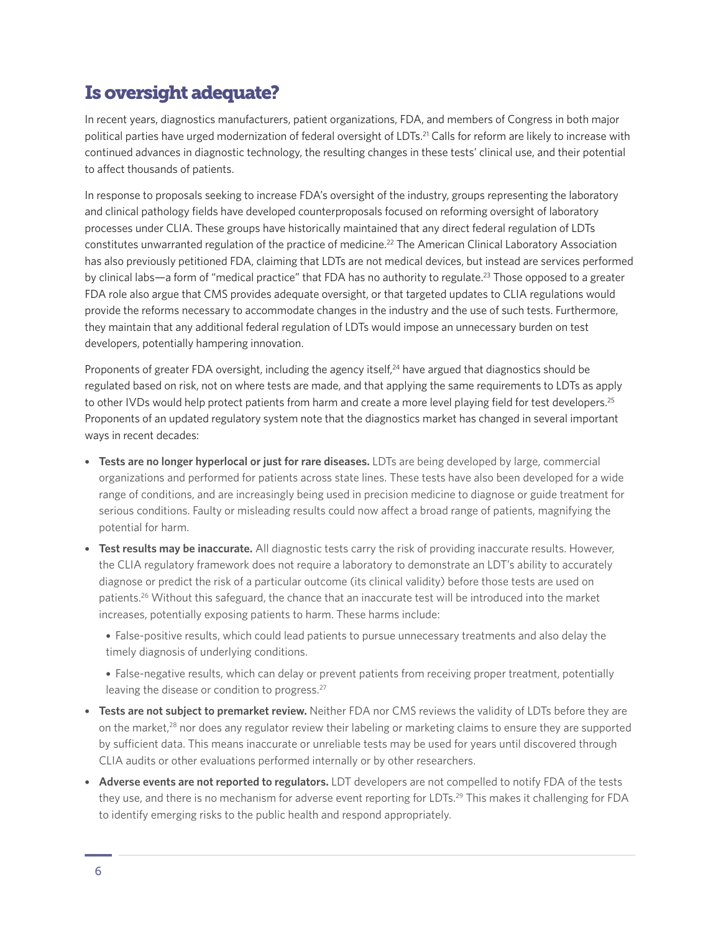# Is oversight adequate?

In recent years, diagnostics manufacturers, patient organizations, FDA, and members of Congress in both major political parties have urged modernization of federal oversight of LDTs.<sup>21</sup> Calls for reform are likely to increase with continued advances in diagnostic technology, the resulting changes in these tests' clinical use, and their potential to affect thousands of patients.

In response to proposals seeking to increase FDA's oversight of the industry, groups representing the laboratory and clinical pathology fields have developed counterproposals focused on reforming oversight of laboratory processes under CLIA. These groups have historically maintained that any direct federal regulation of LDTs constitutes unwarranted regulation of the practice of medicine.22 The American Clinical Laboratory Association has also previously petitioned FDA, claiming that LDTs are not medical devices, but instead are services performed by clinical labs—a form of "medical practice" that FDA has no authority to regulate.<sup>23</sup> Those opposed to a greater FDA role also argue that CMS provides adequate oversight, or that targeted updates to CLIA regulations would provide the reforms necessary to accommodate changes in the industry and the use of such tests. Furthermore, they maintain that any additional federal regulation of LDTs would impose an unnecessary burden on test developers, potentially hampering innovation.

Proponents of greater FDA oversight, including the agency itself,<sup>24</sup> have argued that diagnostics should be regulated based on risk, not on where tests are made, and that applying the same requirements to LDTs as apply to other IVDs would help protect patients from harm and create a more level playing field for test developers.<sup>25</sup> Proponents of an updated regulatory system note that the diagnostics market has changed in several important ways in recent decades:

- **Tests are no longer hyperlocal or just for rare diseases.** LDTs are being developed by large, commercial organizations and performed for patients across state lines. These tests have also been developed for a wide range of conditions, and are increasingly being used in precision medicine to diagnose or guide treatment for serious conditions. Faulty or misleading results could now affect a broad range of patients, magnifying the potential for harm.
- **Test results may be inaccurate.** All diagnostic tests carry the risk of providing inaccurate results. However, the CLIA regulatory framework does not require a laboratory to demonstrate an LDT's ability to accurately diagnose or predict the risk of a particular outcome (its clinical validity) before those tests are used on patients.26 Without this safeguard, the chance that an inaccurate test will be introduced into the market increases, potentially exposing patients to harm. These harms include:

• False-positive results, which could lead patients to pursue unnecessary treatments and also delay the timely diagnosis of underlying conditions.

• False-negative results, which can delay or prevent patients from receiving proper treatment, potentially leaving the disease or condition to progress.<sup>27</sup>

- **Tests are not subject to premarket review.** Neither FDA nor CMS reviews the validity of LDTs before they are on the market, $28$  nor does any regulator review their labeling or marketing claims to ensure they are supported by sufficient data. This means inaccurate or unreliable tests may be used for years until discovered through CLIA audits or other evaluations performed internally or by other researchers.
- **Adverse events are not reported to regulators.** LDT developers are not compelled to notify FDA of the tests they use, and there is no mechanism for adverse event reporting for LDTs.29 This makes it challenging for FDA to identify emerging risks to the public health and respond appropriately.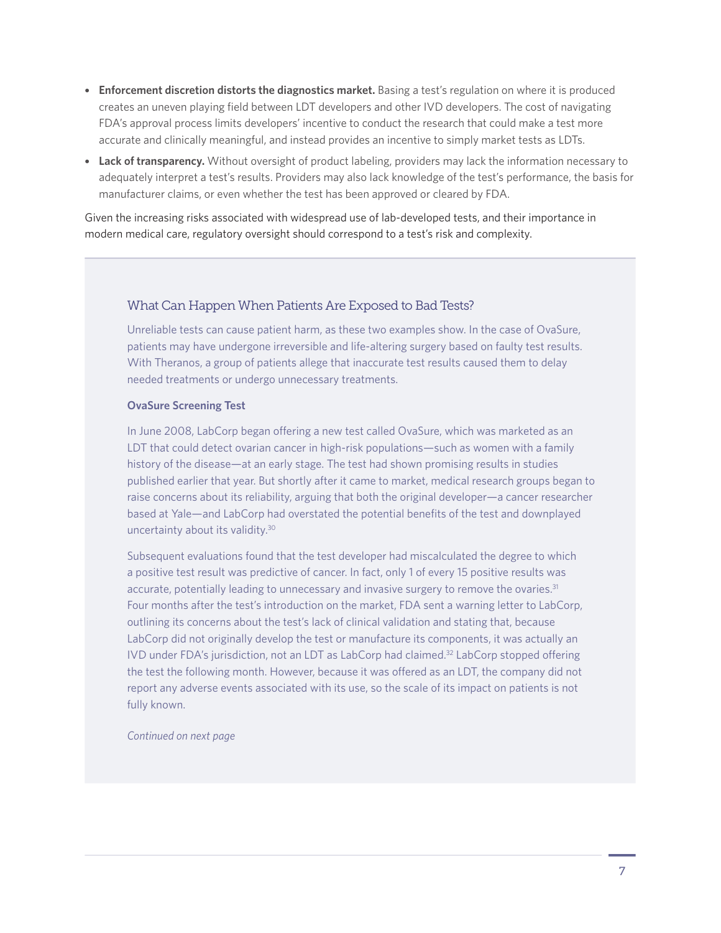- **Enforcement discretion distorts the diagnostics market.** Basing a test's regulation on where it is produced creates an uneven playing field between LDT developers and other IVD developers. The cost of navigating FDA's approval process limits developers' incentive to conduct the research that could make a test more accurate and clinically meaningful, and instead provides an incentive to simply market tests as LDTs.
- **Lack of transparency.** Without oversight of product labeling, providers may lack the information necessary to adequately interpret a test's results. Providers may also lack knowledge of the test's performance, the basis for manufacturer claims, or even whether the test has been approved or cleared by FDA.

Given the increasing risks associated with widespread use of lab-developed tests, and their importance in modern medical care, regulatory oversight should correspond to a test's risk and complexity.

#### What Can Happen When Patients Are Exposed to Bad Tests?

Unreliable tests can cause patient harm, as these two examples show. In the case of OvaSure, patients may have undergone irreversible and life-altering surgery based on faulty test results. With Theranos, a group of patients allege that inaccurate test results caused them to delay needed treatments or undergo unnecessary treatments.

#### **OvaSure Screening Test**

In June 2008, LabCorp began offering a new test called OvaSure, which was marketed as an LDT that could detect ovarian cancer in high-risk populations—such as women with a family history of the disease—at an early stage. The test had shown promising results in studies published earlier that year. But shortly after it came to market, medical research groups began to raise concerns about its reliability, arguing that both the original developer—a cancer researcher based at Yale—and LabCorp had overstated the potential benefits of the test and downplayed uncertainty about its validity.<sup>30</sup>

Subsequent evaluations found that the test developer had miscalculated the degree to which a positive test result was predictive of cancer. In fact, only 1 of every 15 positive results was accurate, potentially leading to unnecessary and invasive surgery to remove the ovaries.<sup>31</sup> Four months after the test's introduction on the market, FDA sent a warning letter to LabCorp, outlining its concerns about the test's lack of clinical validation and stating that, because LabCorp did not originally develop the test or manufacture its components, it was actually an IVD under FDA's jurisdiction, not an LDT as LabCorp had claimed.<sup>32</sup> LabCorp stopped offering the test the following month. However, because it was offered as an LDT, the company did not report any adverse events associated with its use, so the scale of its impact on patients is not fully known.

*Continued on next page*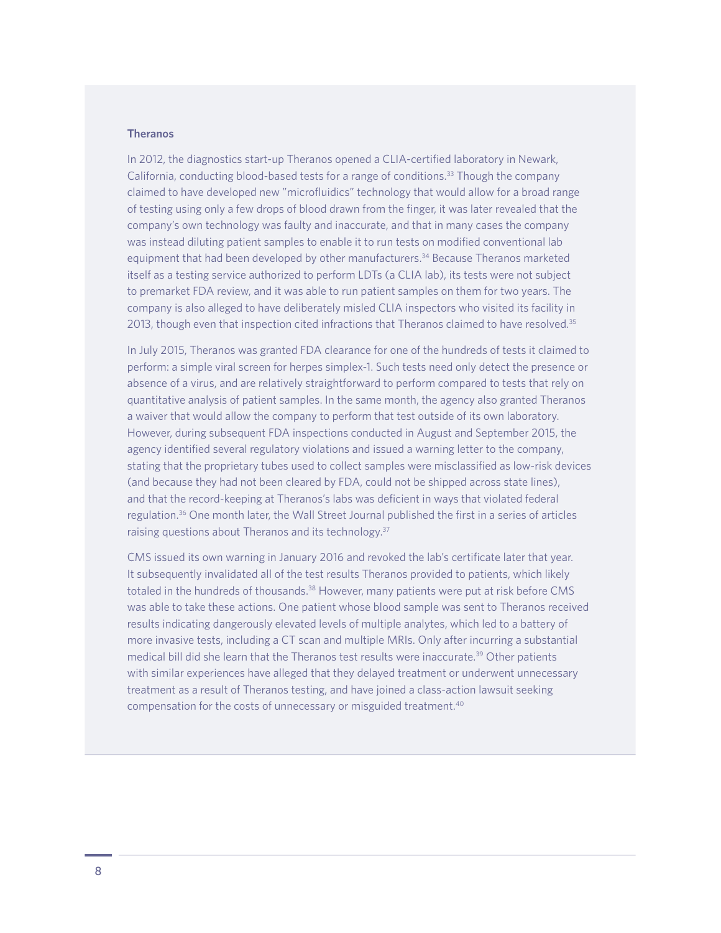#### **Theranos**

In 2012, the diagnostics start-up Theranos opened a CLIA-certified laboratory in Newark, California, conducting blood-based tests for a range of conditions.33 Though the company claimed to have developed new "microfluidics" technology that would allow for a broad range of testing using only a few drops of blood drawn from the finger, it was later revealed that the company's own technology was faulty and inaccurate, and that in many cases the company was instead diluting patient samples to enable it to run tests on modified conventional lab equipment that had been developed by other manufacturers.<sup>34</sup> Because Theranos marketed itself as a testing service authorized to perform LDTs (a CLIA lab), its tests were not subject to premarket FDA review, and it was able to run patient samples on them for two years. The company is also alleged to have deliberately misled CLIA inspectors who visited its facility in 2013, though even that inspection cited infractions that Theranos claimed to have resolved.<sup>35</sup>

In July 2015, Theranos was granted FDA clearance for one of the hundreds of tests it claimed to perform: a simple viral screen for herpes simplex-1. Such tests need only detect the presence or absence of a virus, and are relatively straightforward to perform compared to tests that rely on quantitative analysis of patient samples. In the same month, the agency also granted Theranos a waiver that would allow the company to perform that test outside of its own laboratory. However, during subsequent FDA inspections conducted in August and September 2015, the agency identified several regulatory violations and issued a warning letter to the company, stating that the proprietary tubes used to collect samples were misclassified as low-risk devices (and because they had not been cleared by FDA, could not be shipped across state lines), and that the record-keeping at Theranos's labs was deficient in ways that violated federal regulation.36 One month later, the Wall Street Journal published the first in a series of articles raising questions about Theranos and its technology.<sup>37</sup>

CMS issued its own warning in January 2016 and revoked the lab's certificate later that year. It subsequently invalidated all of the test results Theranos provided to patients, which likely totaled in the hundreds of thousands.<sup>38</sup> However, many patients were put at risk before CMS was able to take these actions. One patient whose blood sample was sent to Theranos received results indicating dangerously elevated levels of multiple analytes, which led to a battery of more invasive tests, including a CT scan and multiple MRIs. Only after incurring a substantial medical bill did she learn that the Theranos test results were inaccurate.39 Other patients with similar experiences have alleged that they delayed treatment or underwent unnecessary treatment as a result of Theranos testing, and have joined a class-action lawsuit seeking compensation for the costs of unnecessary or misguided treatment.40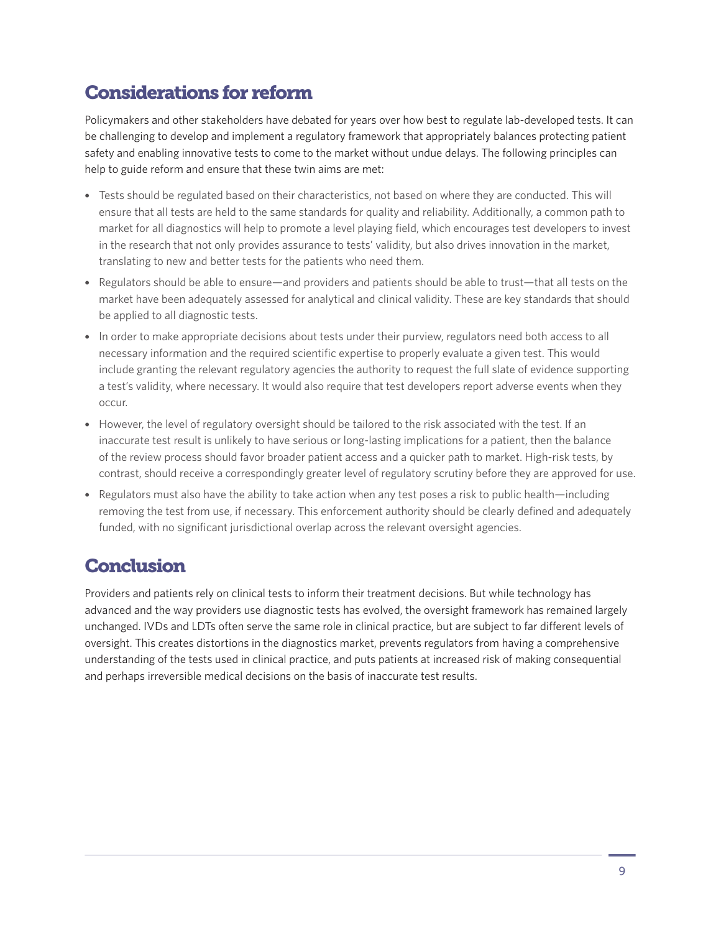# Considerations for reform

Policymakers and other stakeholders have debated for years over how best to regulate lab-developed tests. It can be challenging to develop and implement a regulatory framework that appropriately balances protecting patient safety and enabling innovative tests to come to the market without undue delays. The following principles can help to guide reform and ensure that these twin aims are met:

- Tests should be regulated based on their characteristics, not based on where they are conducted. This will ensure that all tests are held to the same standards for quality and reliability. Additionally, a common path to market for all diagnostics will help to promote a level playing field, which encourages test developers to invest in the research that not only provides assurance to tests' validity, but also drives innovation in the market, translating to new and better tests for the patients who need them.
- Regulators should be able to ensure—and providers and patients should be able to trust—that all tests on the market have been adequately assessed for analytical and clinical validity. These are key standards that should be applied to all diagnostic tests.
- In order to make appropriate decisions about tests under their purview, regulators need both access to all necessary information and the required scientific expertise to properly evaluate a given test. This would include granting the relevant regulatory agencies the authority to request the full slate of evidence supporting a test's validity, where necessary. It would also require that test developers report adverse events when they occur.
- However, the level of regulatory oversight should be tailored to the risk associated with the test. If an inaccurate test result is unlikely to have serious or long-lasting implications for a patient, then the balance of the review process should favor broader patient access and a quicker path to market. High-risk tests, by contrast, should receive a correspondingly greater level of regulatory scrutiny before they are approved for use.
- Regulators must also have the ability to take action when any test poses a risk to public health—including removing the test from use, if necessary. This enforcement authority should be clearly defined and adequately funded, with no significant jurisdictional overlap across the relevant oversight agencies.

## **Conclusion**

Providers and patients rely on clinical tests to inform their treatment decisions. But while technology has advanced and the way providers use diagnostic tests has evolved, the oversight framework has remained largely unchanged. IVDs and LDTs often serve the same role in clinical practice, but are subject to far different levels of oversight. This creates distortions in the diagnostics market, prevents regulators from having a comprehensive understanding of the tests used in clinical practice, and puts patients at increased risk of making consequential and perhaps irreversible medical decisions on the basis of inaccurate test results.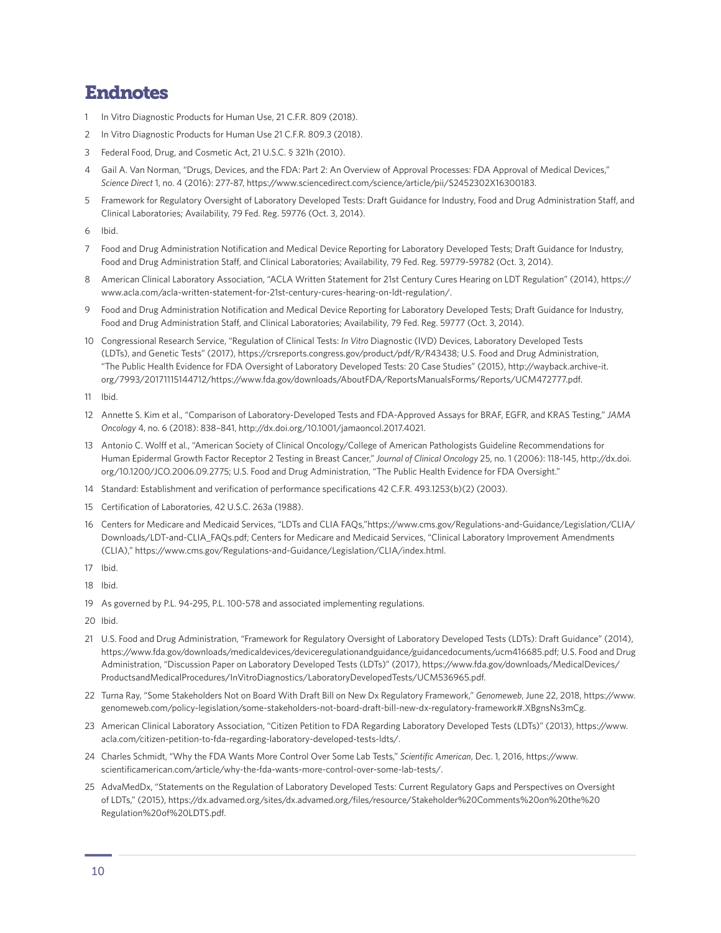### Endnotes

- In Vitro Diagnostic Products for Human Use, 21 C.F.R. 809 (2018).
- 2 In Vitro Diagnostic Products for Human Use 21 C.F.R. 809.3 (2018).
- 3 Federal Food, Drug, and Cosmetic Act, 21 U.S.C. § 321h (2010).
- 4 Gail A. Van Norman, "Drugs, Devices, and the FDA: Part 2: An Overview of Approval Processes: FDA Approval of Medical Devices," *Science Direct* 1, no. 4 (2016): 277-87, https://www.sciencedirect.com/science/article/pii/S2452302X16300183.
- 5 Framework for Regulatory Oversight of Laboratory Developed Tests: Draft Guidance for Industry, Food and Drug Administration Staff, and Clinical Laboratories; Availability, 79 Fed. Reg. 59776 (Oct. 3, 2014).
- 6 Ibid.
- 7 Food and Drug Administration Notification and Medical Device Reporting for Laboratory Developed Tests; Draft Guidance for Industry, Food and Drug Administration Staff, and Clinical Laboratories; Availability, 79 Fed. Reg. 59779-59782 (Oct. 3, 2014).
- 8 American Clinical Laboratory Association, "ACLA Written Statement for 21st Century Cures Hearing on LDT Regulation" (2014), [https://](https://www.acla.com/acla-written-statement-for-21st-century-cures-hearing-on-ldt-regulation/) [www.acla.com/acla-written-statement-for-21st-century-cures-hearing-on-ldt-regulation/](https://www.acla.com/acla-written-statement-for-21st-century-cures-hearing-on-ldt-regulation/).
- 9 Food and Drug Administration Notification and Medical Device Reporting for Laboratory Developed Tests; Draft Guidance for Industry, Food and Drug Administration Staff, and Clinical Laboratories; Availability, 79 Fed. Reg. 59777 (Oct. 3, 2014).
- 10 Congressional Research Service, "Regulation of Clinical Tests: *In Vitro* Diagnostic (IVD) Devices, Laboratory Developed Tests (LDTs), and Genetic Tests" (2017), https://crsreports.congress.gov/product/pdf/R/R43438; U.S. Food and Drug Administration, "The Public Health Evidence for FDA Oversight of Laboratory Developed Tests: 20 Case Studies" (2015), [http://wayback.archive-it.](http://wayback.archive-it.org/7993/20171115144712/https://www.fda.gov/downloads/AboutFDA/ReportsManualsForms/Reports/UCM472777.pdf) [org/7993/20171115144712/https://www.fda.gov/downloads/AboutFDA/ReportsManualsForms/Reports/UCM472777.pdf](http://wayback.archive-it.org/7993/20171115144712/https://www.fda.gov/downloads/AboutFDA/ReportsManualsForms/Reports/UCM472777.pdf).
- 11 Ibid.
- 12 Annette S. Kim et al., "Comparison of Laboratory-Developed Tests and FDA-Approved Assays for BRAF, EGFR, and KRAS Testing," *JAMA Oncology* 4, no. 6 (2018): 838–841, http://dx.doi.org/10.1001/jamaoncol.2017.4021.
- 13 Antonio C. Wolff et al., "American Society of Clinical Oncology/College of American Pathologists Guideline Recommendations for Human Epidermal Growth Factor Receptor 2 Testing in Breast Cancer," *Journal of Clinical Oncology* 25, no. 1 (2006): 118-145, [http://dx.doi.](http://dx.doi.org/10.1200/JCO.2006.09.2775) [org/10.1200/JCO.2006.09.2775;](http://dx.doi.org/10.1200/JCO.2006.09.2775) U.S. Food and Drug Administration, "The Public Health Evidence for FDA Oversight."
- 14 Standard: Establishment and verification of performance specifications 42 C.F.R. 493.1253(b)(2) (2003).
- 15 Certification of Laboratories, 42 U.S.C. 263a (1988).
- 16 Centers for Medicare and Medicaid Services, "LDTs and CLIA FAQs,["https://www.cms.gov/Regulations-and-Guidance/Legislation/CLIA/](https://www.cms.gov/Regulations-and-Guidance/Legislation/CLIA/Downloads/LDT-and-CLIA_FAQs.pdf) [Downloads/LDT-and-CLIA\\_FAQs.pdf;](https://www.cms.gov/Regulations-and-Guidance/Legislation/CLIA/Downloads/LDT-and-CLIA_FAQs.pdf) Centers for Medicare and Medicaid Services, "Clinical Laboratory Improvement Amendments (CLIA)," https://www.cms.gov/Regulations-and-Guidance/Legislation/CLIA/index.html.
- 17 Ibid.
- 18 Ibid.
- 19 As governed by P.L. 94-295, P.L. 100-578 and associated implementing regulations.
- 20 Ibid.
- 21 U.S. Food and Drug Administration, "Framework for Regulatory Oversight of Laboratory Developed Tests (LDTs): Draft Guidance" (2014), https://www.fda.gov/downloads/medicaldevices/deviceregulationandguidance/guidancedocuments/ucm416685.pdf; U.S. Food and Drug Administration, "Discussion Paper on Laboratory Developed Tests (LDTs)" (2017), [https://www.fda.gov/downloads/MedicalDevices/](https://www.fda.gov/downloads/MedicalDevices/ProductsandMedicalProcedures/InVitroDiagnostics/LaboratoryDevelopedTests/UCM536965.pdf) [ProductsandMedicalProcedures/InVitroDiagnostics/LaboratoryDevelopedTests/UCM536965.pdf](https://www.fda.gov/downloads/MedicalDevices/ProductsandMedicalProcedures/InVitroDiagnostics/LaboratoryDevelopedTests/UCM536965.pdf).
- 22 Turna Ray, "Some Stakeholders Not on Board With Draft Bill on New Dx Regulatory Framework," *Genomeweb*, June 22, 2018, [https://www.](https://www.genomeweb.com/policy-legislation/some-stakeholders-not-board-draft-bill-new-dx-regulatory-framework#.XBgnsNs3mCg) [genomeweb.com/policy-legislation/some-stakeholders-not-board-draft-bill-new-dx-regulatory-framework#.XBgnsNs3mCg](https://www.genomeweb.com/policy-legislation/some-stakeholders-not-board-draft-bill-new-dx-regulatory-framework#.XBgnsNs3mCg).
- 23 American Clinical Laboratory Association, "Citizen Petition to FDA Regarding Laboratory Developed Tests (LDTs)" (2013), [https://www.](https://www.acla.com/citizen-petition-to-fda-regarding-laboratory-developed-tests-ldts/) [acla.com/citizen-petition-to-fda-regarding-laboratory-developed-tests-ldts/.](https://www.acla.com/citizen-petition-to-fda-regarding-laboratory-developed-tests-ldts/)
- 24 Charles Schmidt, "Why the FDA Wants More Control Over Some Lab Tests," *Scientific American*, Dec. 1, 2016, [https://www.](https://www.scientificamerican.com/article/why-the-fda-wants-more-control-over-some-lab-tests/) [scientificamerican.com/article/why-the-fda-wants-more-control-over-some-lab-tests/.](https://www.scientificamerican.com/article/why-the-fda-wants-more-control-over-some-lab-tests/)
- 25 AdvaMedDx, "Statements on the Regulation of Laboratory Developed Tests: Current Regulatory Gaps and Perspectives on Oversight of LDTs," (2015), [https://dx.advamed.org/sites/dx.advamed.org/files/resource/Stakeholder%20Comments%20on%20the%20](https://dx.advamed.org/sites/dx.advamed.org/files/resource/Stakeholder%20Comments%20on%20the%20Regulation%20of%20LDTS.pdf) [Regulation%20of%20LDTS.pdf](https://dx.advamed.org/sites/dx.advamed.org/files/resource/Stakeholder%20Comments%20on%20the%20Regulation%20of%20LDTS.pdf).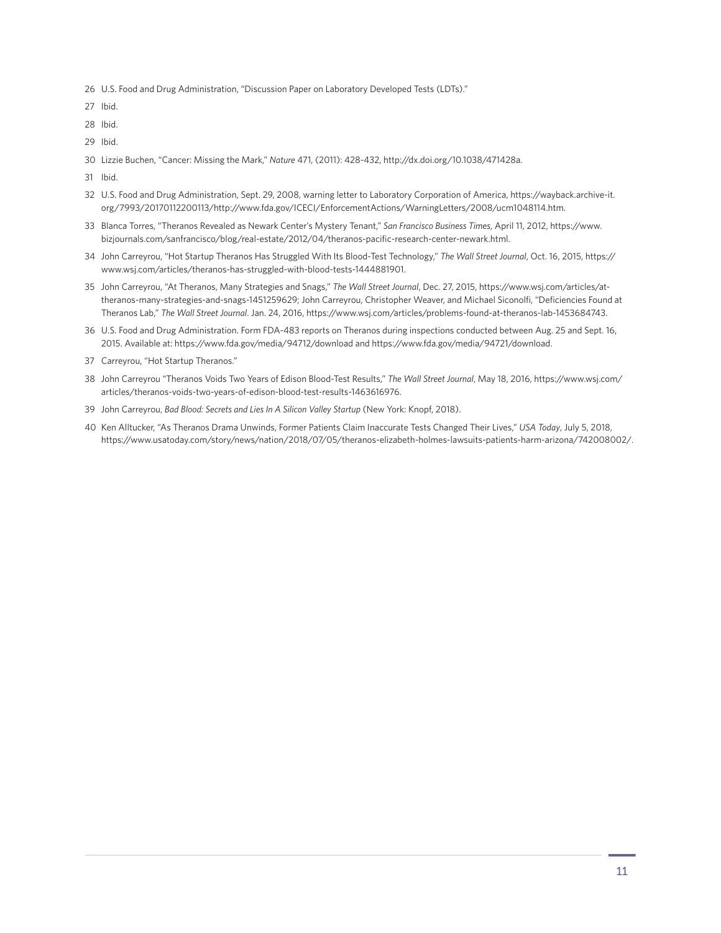- U.S. Food and Drug Administration, "Discussion Paper on Laboratory Developed Tests (LDTs)."
- Ibid.
- Ibid.
- Ibid.
- Lizzie Buchen, "Cancer: Missing the Mark," *Nature* 471, (2011): 428-432, http://dx.doi.org/10.1038/471428a.
- Ibid.
- U.S. Food and Drug Administration, Sept. 29, 2008, warning letter to Laboratory Corporation of America, [https://wayback.archive-it.](https://wayback.archive-it.org/7993/20170112200113/http://www.fda.gov/ICECI/EnforcementActions/WarningLetters/2008/ucm1048114.htm) [org/7993/20170112200113/http://www.fda.gov/ICECI/EnforcementActions/WarningLetters/2008/ucm1048114.htm.](https://wayback.archive-it.org/7993/20170112200113/http://www.fda.gov/ICECI/EnforcementActions/WarningLetters/2008/ucm1048114.htm)
- Blanca Torres, "Theranos Revealed as Newark Center's Mystery Tenant," *San Francisco Business Times*, April 11, 2012, [https://www.](https://www.bizjournals.com/sanfrancisco/blog/real-estate/2012/04/theranos-pacific-research-center-newark.html) [bizjournals.com/sanfrancisco/blog/real-estate/2012/04/theranos-pacific-research-center-newark.html.](https://www.bizjournals.com/sanfrancisco/blog/real-estate/2012/04/theranos-pacific-research-center-newark.html)
- John Carreyrou, "Hot Startup Theranos Has Struggled With Its Blood-Test Technology," *The Wall Street Journal*, Oct. 16, 2015, [https://](https://www.wsj.com/articles/theranos-has-struggled-with-blood-tests-1444881901) [www.wsj.com/articles/theranos-has-struggled-with-blood-tests-1444881901](https://www.wsj.com/articles/theranos-has-struggled-with-blood-tests-1444881901).
- John Carreyrou, "At Theranos, Many Strategies and Snags," *The Wall Street Journal*, Dec. 27, 2015, [https://www.wsj.com/articles/at](https://www.wsj.com/articles/at-theranos-many-strategies-and-snags-1451259629)[theranos-many-strategies-and-snags-1451259629;](https://www.wsj.com/articles/at-theranos-many-strategies-and-snags-1451259629) John Carreyrou, Christopher Weaver, and Michael Siconolfi, "Deficiencies Found at Theranos Lab," *The Wall Street Journal*. Jan. 24, 2016, https://www.wsj.com/articles/problems-found-at-theranos-lab-1453684743.
- U.S. Food and Drug Administration. Form FDA-483 reports on Theranos during inspections conducted between Aug. 25 and Sept. 16, 2015. Available at:<https://www.fda.gov/media/94712/download> and [https://www.fda.gov/media/94721/download.](https://www.fda.gov/media/94721/download)
- Carreyrou, "Hot Startup Theranos."
- John Carreyrou "Theranos Voids Two Years of Edison Blood-Test Results," *The Wall Street Journal*, May 18, 2016, [https://www.wsj.com/](https://www.wsj.com/articles/theranos-voids-two-years-of-edison-blood-test-results-1463616976) [articles/theranos-voids-two-years-of-edison-blood-test-results-1463616976](https://www.wsj.com/articles/theranos-voids-two-years-of-edison-blood-test-results-1463616976).
- John Carreyrou, *Bad Blood: Secrets and Lies In A Silicon Valley Startup* (New York: Knopf, 2018).
- Ken Alltucker, "As Theranos Drama Unwinds, Former Patients Claim Inaccurate Tests Changed Their Lives," *USA Today*, July 5, 2018, https://www.usatoday.com/story/news/nation/2018/07/05/theranos-elizabeth-holmes-lawsuits-patients-harm-arizona/742008002/.